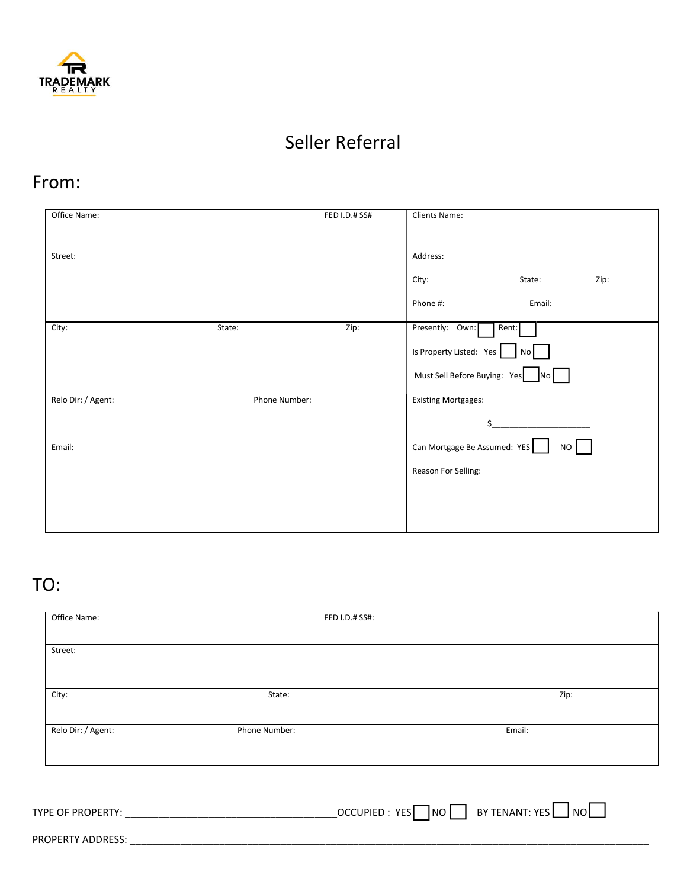

## Seller Referral

## From:

| Office Name:       |               | FED I.D.# SS# | Clients Name:                |        |      |
|--------------------|---------------|---------------|------------------------------|--------|------|
|                    |               |               |                              |        |      |
| Street:            |               |               | Address:                     |        |      |
|                    |               |               | City:                        | State: | Zip: |
|                    |               |               | Phone #:                     | Email: |      |
| City:              | State:        | Zip:          | Presently: Own:              | Rent:  |      |
|                    |               |               | Is Property Listed: Yes      | No I   |      |
|                    |               |               | Must Sell Before Buying: Yes | No     |      |
| Relo Dir: / Agent: | Phone Number: |               | <b>Existing Mortgages:</b>   |        |      |
|                    |               |               |                              | Ś      |      |
| Email:             |               |               | Can Mortgage Be Assumed: YES |        | NO   |
|                    |               |               | Reason For Selling:          |        |      |
|                    |               |               |                              |        |      |
|                    |               |               |                              |        |      |
|                    |               |               |                              |        |      |

## TO:

| Office Name:       |               | FED I.D.# SS#:                                                                                                                  |
|--------------------|---------------|---------------------------------------------------------------------------------------------------------------------------------|
| Street:            |               |                                                                                                                                 |
|                    |               |                                                                                                                                 |
|                    |               |                                                                                                                                 |
| City:              | State:        | Zip:                                                                                                                            |
| Relo Dir: / Agent: | Phone Number: | Email:                                                                                                                          |
|                    |               |                                                                                                                                 |
|                    |               |                                                                                                                                 |
| TYPE OF PROPERTY:  |               | BY TENANT: YES $\Box$ NO $\Box$<br>$\overline{\phantom{0}}$ OCCUPIED : YES $\overline{\phantom{0}}$ NO $\overline{\phantom{0}}$ |

PROPERTY ADDRESS: \_\_\_\_\_\_\_\_\_\_\_\_\_\_\_\_\_\_\_\_\_\_\_\_\_\_\_\_\_\_\_\_\_\_\_\_\_\_\_\_\_\_\_\_\_\_\_\_\_\_\_\_\_\_\_\_\_\_\_\_\_\_\_\_\_\_\_\_\_\_\_\_\_\_\_\_\_\_\_\_\_\_\_\_\_\_\_\_\_\_\_\_\_